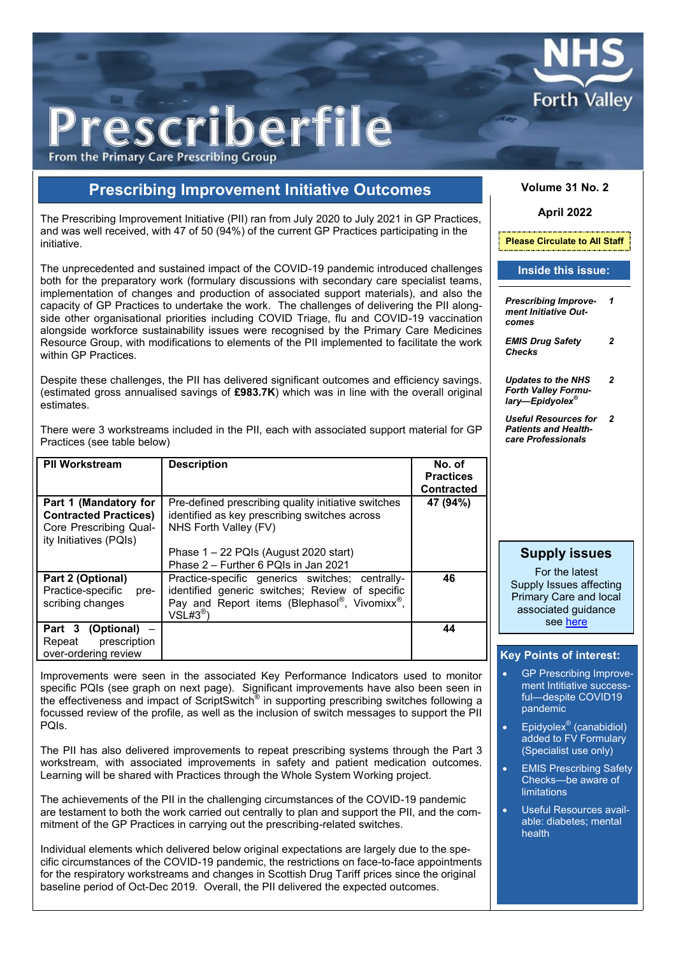

# rescriberfile

From the Primary Care Prescribing Group

## **Prescribing Improvement Initiative Outcomes**

The Prescribing Improvement Initiative (PII) ran from July 2020 to July 2021 in GP Practices, and was well received, with 47 of 50 (94%) of the current GP Practices participating in the initiative.

The unprecedented and sustained impact of the COVID-19 pandemic introduced challenges both for the preparatory work (formulary discussions with secondary care specialist teams, implementation of changes and production of associated support materials), and also the capacity of GP Practices to undertake the work. The challenges of delivering the PII alongside other organisational priorities including COVID Triage, flu and COVID-19 vaccination alongside workforce sustainability issues were recognised by the Primary Care Medicines Resource Group, with modifications to elements of the PII implemented to facilitate the work within GP Practices.

Despite these challenges, the PII has delivered significant outcomes and efficiency savings. (estimated gross annualised savings of **£983.7K**) which was in line with the overall original estimates.

There were 3 workstreams included in the PII, each with associated support material for GP Practices (see table below)

| <b>PII Workstream</b>                                                                                     | <b>Description</b>                                                                                                                                                                     | No. of<br><b>Practices</b><br><b>Contracted</b> |
|-----------------------------------------------------------------------------------------------------------|----------------------------------------------------------------------------------------------------------------------------------------------------------------------------------------|-------------------------------------------------|
| Part 1 (Mandatory for<br><b>Contracted Practices)</b><br>Core Prescribing Qual-<br>ity Initiatives (PQIs) | Pre-defined prescribing quality initiative switches<br>identified as key prescribing switches across<br>NHS Forth Valley (FV)                                                          | 47 (94%)                                        |
|                                                                                                           | Phase $1 - 22$ PQIs (August 2020 start)<br>Phase 2 - Further 6 PQIs in Jan 2021                                                                                                        |                                                 |
| Part 2 (Optional)<br>Practice-specific<br>pre-<br>scribing changes                                        | Practice-specific generics switches; centrally-<br>identified generic switches; Review of specific<br>Pay and Report items (Blephasol®, Vivomixx <sup>®</sup> ,<br>$VSL#3^{\circledR}$ | 46                                              |
| Part 3<br>$(Optional)$ –<br>prescription<br>Repeat<br>over-ordering review                                |                                                                                                                                                                                        | 44                                              |

Improvements were seen in the associated Key Performance Indicators used to monitor specific PQIs (see graph on next page). Significant improvements have also been seen in the effectiveness and impact of ScriptSwitch<sup>®</sup> in supporting prescribing switches following a focussed review of the profile, as well as the inclusion of switch messages to support the PII PQIs.

The PII has also delivered improvements to repeat prescribing systems through the Part 3 workstream, with associated improvements in safety and patient medication outcomes. Learning will be shared with Practices through the Whole System Working project.

The achievements of the PII in the challenging circumstances of the COVID-19 pandemic are testament to both the work carried out centrally to plan and support the PII, and the commitment of the GP Practices in carrying out the prescribing-related switches.

Individual elements which delivered below original expectations are largely due to the specific circumstances of the COVID-19 pandemic, the restrictions on face-to-face appointments for the respiratory workstreams and changes in Scottish Drug Tariff prices since the original baseline period of Oct-Dec 2019. Overall, the PII delivered the expected outcomes.

#### **Volume 31 No. 2**

#### **April 2022**

**Please Circulate to All Staff**

#### **Inside this issue:**

*Prescribing Improve-1 ment Initiative Outcomes*

*EMIS Drug Safety Checks 2*

*Updates to the NHS Forth Valley Formulary—Epidyolex® 2*

*Useful Resources for Patients and Healthcare Professionals 2*

#### **Supply issues**

For the latest Supply Issues affecting Primary Care and local associated guidance see [here](https://pharmacies.nhsforthvalley.com/wp-content/uploads/sites/6/2020/03/Supply-Issues-FV-Info-Document.pdf)

#### **Key Points of interest:**

- GP Prescribing Improvement Intitiative successful—despite COVID19 pandemic
- Epidyolex<sup>®</sup> (canabidiol) added to FV Formulary (Specialist use only)
- EMIS Prescribing Safety Checks—be aware of limitations
- Useful Resources available: diabetes; mental health